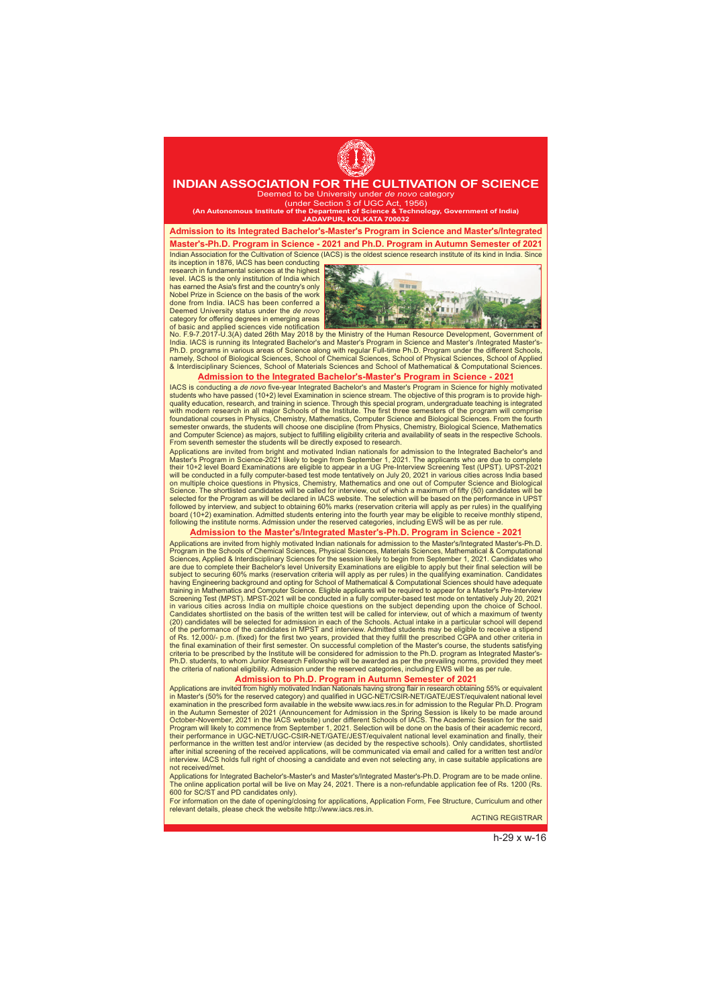# h-29 x w-16



## **INDIAN ASSOCIATION FOR THE CULTIVATION OF SCIENCE**

Deemed to be University under *de novo* category (under Section 3 of UGC Act, 1956)

**(An Autonomous Institute of the Department of Science & Technology, Government of India) JADAVPUR, KOLKATA 700032**

**Admission to its Integrated Bachelor's-Master's Program in Science and Master's/Integrated**

**Master's-Ph.D. Program in Science - 2021 and Ph.D. Program in Autumn Semester of 2021** Indian Association for the Cultivation of Science (IACS) is the oldest science research institute of its kind in India. Since

its inception in 1876, IACS has been conducting research in fundamental sciences at the highest level. IACS is the only institution of India which has earned the Asia's first and the country's only Nobel Prize in Science on the basis of the work done from India. IACS has been conferred a Deemed University status under the *de novo* category for offering degrees in emerging areas of basic and applied sciences vide notification



No. F.9-7.2017-U.3(A) dated 26th May 2018 by the Ministry of the Human Resource Development, Government of India. IACS is running its Integrated Bachelor's and Master's Program in Science and Master's /Integrated Master's-Ph.D. programs in various areas of Science along with regular Full-time Ph.D. Program under the different Schools, namely, School of Biological Sciences, School of Chemical Sciences, School of Physical Sciences, School of Applied & Interdisciplinary Sciences, School of Materials Sciences and School of Mathematical & Computational Sciences.

## **Admission to the Integrated Bachelor's-Master's Program in Science - 2021**

IACS is conducting a *de novo* five-year Integrated Bachelor's and Master's Program in Science for highly motivated students who have passed (10+2) level Examination in science stream. The objective of this program is to provide highquality education, research, and training in science. Through this special program, undergraduate teaching is integrated with modern research in all major Schools of the Institute. The first three semesters of the program will comprise foundational courses in Physics, Chemistry, Mathematics, Computer Science and Biological Sciences. From the fourth semester onwards, the students will choose one discipline (from Physics, Chemistry, Biological Science, Mathematics and Computer Science) as majors, subject to fulfilling eligibility criteria and availability of seats in the respective Schools. From seventh semester the students will be directly exposed to research.

Applications are invited from bright and motivated Indian nationals for admission to the Integrated Bachelor's and Master's Program in Science-2021 likely to begin from September 1, 2021. The applicants who are due to complete their 10+2 level Board Examinations are eligible to appear in a UG Pre-Interview Screening Test (UPST). UPST-2021 will be conducted in a fully computer-based test mode tentatively on July 20, 2021 in various cities across India based on multiple choice questions in Physics, Chemistry, Mathematics and one out of Computer Science and Biological Science. The shortlisted candidates will be called for interview, out of which a maximum of fifty (50) candidates will be selected for the Program as will be declared in IACS website. The selection will be based on the performance in UPST followed by interview, and subject to obtaining 60% marks (reservation criteria will apply as per rules) in the qualifying board (10+2) examination. Admitted students entering into the fourth year may be eligible to receive monthly stipend, following the institute norms. Admission under the reserved categories, including EWS will be as per rule.

ierview. IACS holds full right of choosing a candidate and even not selecting any, in case suitable applications are not received/met.

### **Admission to the Master's/Integrated Master's-Ph.D. Program in Science - 2021**

Applications are invited from highly motivated Indian nationals for admission to the Master's/Integrated Master's-Ph.D. Program in the Schools of Chemical Sciences, Physical Sciences, Materials Sciences, Mathematical & Computational Sciences, Applied & Interdisciplinary Sciences for the session likely to begin from September 1, 2021. Candidates who are due to complete their Bachelor's level University Examinations are eligible to apply but their final selection will be subject to securing 60% marks (reservation criteria will apply as per rules) in the qualifying examination. Candidates having Engineering background and opting for School of Mathematical & Computational Sciences should have adequate training in Mathematics and Computer Science. Eligible applicants will be required to appear for a Master's Pre-Interview Screening Test (MPST). MPST-2021 will be conducted in a fully computer-based test mode on tentatively July 20, 2021 in various cities across India on multiple choice questions on the subject depending upon the choice of School. Candidates shortlisted on the basis of the written test will be called for interview, out of which a maximum of twenty (20) candidates will be selected for admission in each of the Schools. Actual intake in a particular school will depend of the performance of the candidates in MPST and interview. Admitted students may be eligible to receive a stipend of Rs. 12,000/- p.m. (fixed) for the first two years, provided that they fulfill the prescribed CGPA and other criteria in the final examination of their first semester. On successful completion of the Master's course, the students satisfying criteria to be prescribed by the Institute will be considered for admission to the Ph.D. program as Integrated Master's-Ph.D. students, to whom Junior Research Fellowship will be awarded as per the prevailing norms, provided they meet the criteria of national eligibility. Admission under the reserved categories, including EWS will be as per rule.

### **Admission to Ph.D. Program in Autumn Semester of 2021**

Applications are invited from highly motivated Indian Nationals having strong flair in research obtaining 55% or equivalent in Master's (50% for the reserved category) and qualified in UGC-NET/CSIR-NET/GATE/JEST/equivalent national level examination in the prescribed form available in the website www.iacs.res.in for admission to the Regular Ph.D. Program in the Autumn Semester of 2021 (Announcement for Admission in the Spring Session is likely to be made around October-November, 2021 in the IACS website) under different Schools of IACS. The Academic Session for the said Program will likely to commence from September 1, 2021. Selection will be done on the basis of their academic record, their performance in UGC-NET/UGC-CSIR-NET/GATE/JEST/equivalent national level examination and finally, their performance in the written test and/or interview (as decided by the respective schools). Only candidates, shortlisted after initial screening of the received applications, will be communicated via email and called for a written test and/or

Applications for Integrated Bachelor's-Master's and Master's/Integrated Master's-Ph.D. Program are to be made online. The online application portal will be live on May 24, 2021. There is a non-refundable application fee of Rs. 1200 (Rs. 600 for SC/ST and PD candidates only).

For information on the date of opening/closing for applications, Application Form, Fee Structure, Curriculum and other relevant details, please check the website http://www.iacs.res.in.

ACTING REGISTRAR